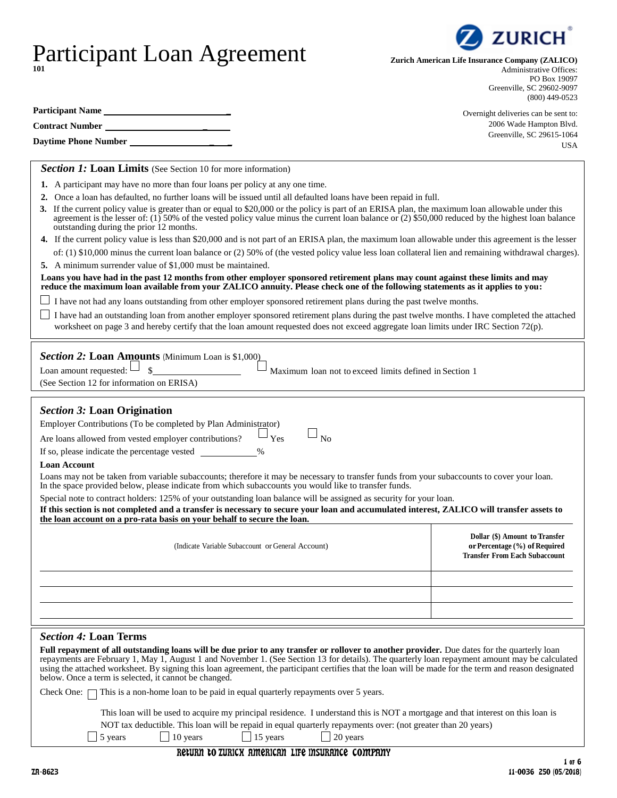# Participant Loan Agreement **101**

**Participant Name \_**

| <b>Contract Number</b>                                                                                                                                                                                                                                                                                                                            | 2006 Wade Hampton Blvd.                                                                                 |  |  |
|---------------------------------------------------------------------------------------------------------------------------------------------------------------------------------------------------------------------------------------------------------------------------------------------------------------------------------------------------|---------------------------------------------------------------------------------------------------------|--|--|
| Daytime Phone Number                                                                                                                                                                                                                                                                                                                              | Greenville, SC 29615-1064<br><b>USA</b>                                                                 |  |  |
| <b>Section 1: Loan Limits</b> (See Section 10 for more information)                                                                                                                                                                                                                                                                               |                                                                                                         |  |  |
|                                                                                                                                                                                                                                                                                                                                                   |                                                                                                         |  |  |
| 1. A participant may have no more than four loans per policy at any one time.                                                                                                                                                                                                                                                                     |                                                                                                         |  |  |
| 2. Once a loan has defaulted, no further loans will be issued until all defaulted loans have been repaid in full.                                                                                                                                                                                                                                 |                                                                                                         |  |  |
| 3. If the current policy value is greater than or equal to \$20,000 or the policy is part of an ERISA plan, the maximum loan allowable under this<br>agreement is the lesser of: (1) 50% of the vested policy value minus the current loan balance or (2) \$50,000 reduced by the highest loan balance<br>outstanding during the prior 12 months. |                                                                                                         |  |  |
| 4. If the current policy value is less than \$20,000 and is not part of an ERISA plan, the maximum loan allowable under this agreement is the lesser                                                                                                                                                                                              |                                                                                                         |  |  |
| of: (1) \$10,000 minus the current loan balance or (2) 50% of (the vested policy value less loan collateral lien and remaining withdrawal charges).                                                                                                                                                                                               |                                                                                                         |  |  |
| 5. A minimum surrender value of \$1,000 must be maintained.                                                                                                                                                                                                                                                                                       |                                                                                                         |  |  |
| Loans you have had in the past 12 months from other employer sponsored retirement plans may count against these limits and may<br>reduce the maximum loan available from your ZALICO annuity. Please check one of the following statements as it applies to you:                                                                                  |                                                                                                         |  |  |
| I have not had any loans outstanding from other employer sponsored retirement plans during the past twelve months.                                                                                                                                                                                                                                |                                                                                                         |  |  |
| I have had an outstanding loan from another employer sponsored retirement plans during the past twelve months. I have completed the attached                                                                                                                                                                                                      |                                                                                                         |  |  |
| worksheet on page 3 and hereby certify that the loan amount requested does not exceed aggregate loan limits under IRC Section 72(p).                                                                                                                                                                                                              |                                                                                                         |  |  |
| Section 2: Loan Amounts (Minimum Loan is \$1,000)                                                                                                                                                                                                                                                                                                 |                                                                                                         |  |  |
|                                                                                                                                                                                                                                                                                                                                                   |                                                                                                         |  |  |
| Loan amount requested:<br>\$<br>Maximum loan not to exceed limits defined in Section 1<br>(See Section 12 for information on ERISA)                                                                                                                                                                                                               |                                                                                                         |  |  |
|                                                                                                                                                                                                                                                                                                                                                   |                                                                                                         |  |  |
| <b>Section 3: Loan Origination</b><br>Employer Contributions (To be completed by Plan Administrator)<br>Are loans allowed from vested employer contributions?<br>Yes<br>N <sub>0</sub>                                                                                                                                                            |                                                                                                         |  |  |
| $\%$                                                                                                                                                                                                                                                                                                                                              |                                                                                                         |  |  |
| <b>Loan Account</b>                                                                                                                                                                                                                                                                                                                               |                                                                                                         |  |  |
| Loans may not be taken from variable subaccounts; therefore it may be necessary to transfer funds from your subaccounts to cover your loan.<br>In the space provided below, please indicate from which subaccounts you would like to transfer funds.                                                                                              |                                                                                                         |  |  |
| Special note to contract holders: 125% of your outstanding loan balance will be assigned as security for your loan.                                                                                                                                                                                                                               |                                                                                                         |  |  |
| If this section is not completed and a transfer is necessary to secure your loan and accumulated interest, ZALICO will transfer assets to<br>the loan account on a pro-rata basis on your behalf to secure the loan.                                                                                                                              |                                                                                                         |  |  |
| (Indicate Variable Subaccount or General Account)                                                                                                                                                                                                                                                                                                 | Dollar (\$) Amount to Transfer<br>or Percentage (%) of Required<br><b>Transfer From Each Subaccount</b> |  |  |
|                                                                                                                                                                                                                                                                                                                                                   |                                                                                                         |  |  |
|                                                                                                                                                                                                                                                                                                                                                   |                                                                                                         |  |  |
|                                                                                                                                                                                                                                                                                                                                                   |                                                                                                         |  |  |
| <b>Section 4: Loan Terms</b>                                                                                                                                                                                                                                                                                                                      |                                                                                                         |  |  |
| Full repayment of all outstanding loans will be due prior to any transfer or rollover to another provider. Due dates for the quarterly loan<br>repayments are February 1, May 1, August 1 and November 1. (See Section 13 for details). The quarterly loan repayment amount may be calculated                                                     |                                                                                                         |  |  |
| using the attached worksheet. By signing this loan agreement, the participant certifies that the loan will be made for the term and reason designated<br>below. Once a term is selected, it cannot be changed.                                                                                                                                    |                                                                                                         |  |  |
|                                                                                                                                                                                                                                                                                                                                                   |                                                                                                         |  |  |

Check One:  $\Box$  This is a non-home loan to be paid in equal quarterly repayments over 5 years.

This loan will be used to acquire my principal residence. I understand this is NOT a mortgage and that interest on this loan is NOT tax deductible. This loan will be repaid in equal quarterly repayments over: (not greater than 20 years)

|  | $\Box$ 5 years | $\Box$ 10 years |  | $\Box$ 15 years |  | $\Box$ 20 years |
|--|----------------|-----------------|--|-----------------|--|-----------------|
|--|----------------|-----------------|--|-----------------|--|-----------------|

# RETURN TO ZURICH AMERICAN LIFE INSURANCE COMPANY

**ZURICH** 

**Zurich American Life Insurance Company (ZALICO)**

Administrative Offices: PO Box 19097 Greenville, SC 29602-9097 (800) 449-0523

Overnight deliveries can be sent to: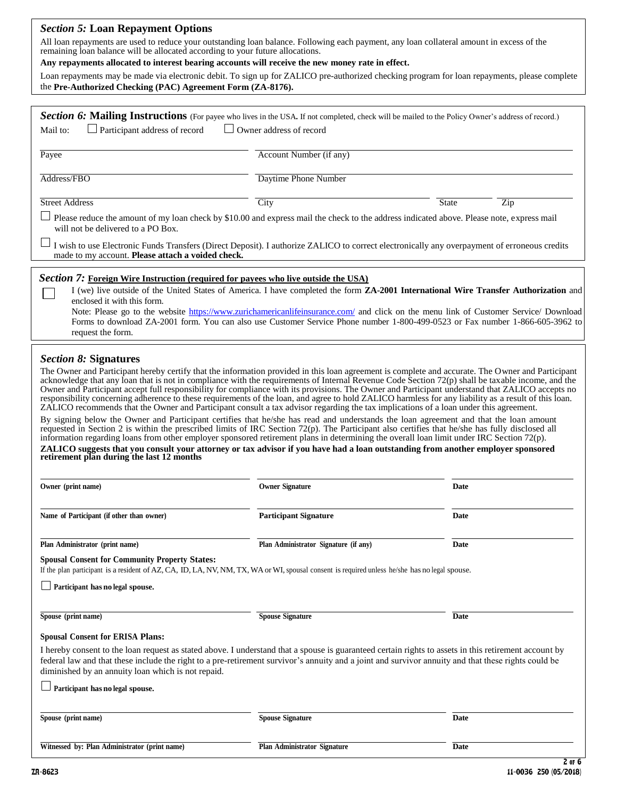# *Section 5:* **Loan Repayment Options**

All loan repayments are used to reduce your outstanding loan balance. Following each payment, any loan collateral amount in excess of the remaining loan balance will be allocated according to your future allocations.

| Any repayments allocated to interest bearing accounts will receive the new money rate in effect. |  |  |  |
|--------------------------------------------------------------------------------------------------|--|--|--|
|--------------------------------------------------------------------------------------------------|--|--|--|

Loan repayments may be made via electronic debit. To sign up for ZALICO pre-authorized checking program for loan repayments, please complete the **Pre-Authorized Checking (PAC) Agreement Form (ZA-8176).**

| Section 6: Mailing Instructions (For payee who lives in the USA. If not completed, check will be mailed to the Policy Owner's address of record.)                                                                                                                                                                                                                                                                                                                                                                                                                                                                                                                                                                                                                                                                                                                                                                                                                                                                                                                                                                                                                                                                                                                                                                                                                                                                     |                                       |                                                                                                                                                                                                                                                                                                                                                                                                               |
|-----------------------------------------------------------------------------------------------------------------------------------------------------------------------------------------------------------------------------------------------------------------------------------------------------------------------------------------------------------------------------------------------------------------------------------------------------------------------------------------------------------------------------------------------------------------------------------------------------------------------------------------------------------------------------------------------------------------------------------------------------------------------------------------------------------------------------------------------------------------------------------------------------------------------------------------------------------------------------------------------------------------------------------------------------------------------------------------------------------------------------------------------------------------------------------------------------------------------------------------------------------------------------------------------------------------------------------------------------------------------------------------------------------------------|---------------------------------------|---------------------------------------------------------------------------------------------------------------------------------------------------------------------------------------------------------------------------------------------------------------------------------------------------------------------------------------------------------------------------------------------------------------|
| Participant address of record<br>Mail to:                                                                                                                                                                                                                                                                                                                                                                                                                                                                                                                                                                                                                                                                                                                                                                                                                                                                                                                                                                                                                                                                                                                                                                                                                                                                                                                                                                             | Owner address of record               |                                                                                                                                                                                                                                                                                                                                                                                                               |
| Payee                                                                                                                                                                                                                                                                                                                                                                                                                                                                                                                                                                                                                                                                                                                                                                                                                                                                                                                                                                                                                                                                                                                                                                                                                                                                                                                                                                                                                 | Account Number (if any)               |                                                                                                                                                                                                                                                                                                                                                                                                               |
| Address/FBO                                                                                                                                                                                                                                                                                                                                                                                                                                                                                                                                                                                                                                                                                                                                                                                                                                                                                                                                                                                                                                                                                                                                                                                                                                                                                                                                                                                                           | <b>Daytime Phone Number</b>           |                                                                                                                                                                                                                                                                                                                                                                                                               |
| <b>Street Address</b>                                                                                                                                                                                                                                                                                                                                                                                                                                                                                                                                                                                                                                                                                                                                                                                                                                                                                                                                                                                                                                                                                                                                                                                                                                                                                                                                                                                                 | City                                  | <b>State</b><br>Zip                                                                                                                                                                                                                                                                                                                                                                                           |
| Please reduce the amount of my loan check by \$10.00 and express mail the check to the address indicated above. Please note, express mail<br>will not be delivered to a PO Box.                                                                                                                                                                                                                                                                                                                                                                                                                                                                                                                                                                                                                                                                                                                                                                                                                                                                                                                                                                                                                                                                                                                                                                                                                                       |                                       |                                                                                                                                                                                                                                                                                                                                                                                                               |
| I wish to use Electronic Funds Transfers (Direct Deposit). I authorize ZALICO to correct electronically any overpayment of erroneous credits<br>made to my account. Please attach a voided check.                                                                                                                                                                                                                                                                                                                                                                                                                                                                                                                                                                                                                                                                                                                                                                                                                                                                                                                                                                                                                                                                                                                                                                                                                     |                                       |                                                                                                                                                                                                                                                                                                                                                                                                               |
| Section 7: Foreign Wire Instruction (required for payees who live outside the USA)<br>enclosed it with this form.<br>request the form.                                                                                                                                                                                                                                                                                                                                                                                                                                                                                                                                                                                                                                                                                                                                                                                                                                                                                                                                                                                                                                                                                                                                                                                                                                                                                |                                       | I (we) live outside of the United States of America. I have completed the form ZA-2001 International Wire Transfer Authorization and<br>Note: Please go to the website https://www.zurichamericanlifeinsurance.com/ and click on the menu link of Customer Service/ Download<br>Forms to download ZA-2001 form. You can also use Customer Service Phone number 1-800-499-0523 or Fax number 1-866-605-3962 to |
| <b>Section 8: Signatures</b><br>The Owner and Participant hereby certify that the information provided in this loan agreement is complete and accurate. The Owner and Participant<br>acknowledge that any loan that is not in compliance with the requirements of Internal Revenue Code Section 72(p) shall be taxable income, and the<br>Owner and Participant accept full responsibility for compliance with its provisions. The Owner and Participant understand that ZALICO accepts no<br>responsibility concerning adherence to these requirements of the loan, and agree to hold ZALICO harmless for any liability as a result of this loan.<br>ZALICO recommends that the Owner and Participant consult a tax advisor regarding the tax implications of a loan under this agreement.<br>By signing below the Owner and Participant certifies that he/she has read and understands the loan agreement and that the loan amount<br>requested in Section 2 is within the prescribed limits of IRC Section 72(p). The Participant also certifies that he/she has fully disclosed all<br>information regarding loans from other employer sponsored retirement plans in determining the overall loan limit under IRC Section 72(p).<br>ZALICO suggests that you consult your attorney or tax advisor if you have had a loan outstanding from another employer sponsored<br>retirement plan during the last 12 months |                                       |                                                                                                                                                                                                                                                                                                                                                                                                               |
| Owner (print name)                                                                                                                                                                                                                                                                                                                                                                                                                                                                                                                                                                                                                                                                                                                                                                                                                                                                                                                                                                                                                                                                                                                                                                                                                                                                                                                                                                                                    | <b>Owner Signature</b>                | <b>Date</b>                                                                                                                                                                                                                                                                                                                                                                                                   |
| Name of Participant (if other than owner)                                                                                                                                                                                                                                                                                                                                                                                                                                                                                                                                                                                                                                                                                                                                                                                                                                                                                                                                                                                                                                                                                                                                                                                                                                                                                                                                                                             | <b>Participant Signature</b>          | Date                                                                                                                                                                                                                                                                                                                                                                                                          |
| Plan Administrator (print name)                                                                                                                                                                                                                                                                                                                                                                                                                                                                                                                                                                                                                                                                                                                                                                                                                                                                                                                                                                                                                                                                                                                                                                                                                                                                                                                                                                                       | Plan Administrator Signature (if any) | Date                                                                                                                                                                                                                                                                                                                                                                                                          |
| <b>Spousal Consent for Community Property States:</b><br>If the plan participant is a resident of AZ, CA, ID, LA, NV, NM, TX, WA or WI, spousal consent is required unless he/she has no legal spouse.                                                                                                                                                                                                                                                                                                                                                                                                                                                                                                                                                                                                                                                                                                                                                                                                                                                                                                                                                                                                                                                                                                                                                                                                                |                                       |                                                                                                                                                                                                                                                                                                                                                                                                               |
| Participant has no legal spouse.                                                                                                                                                                                                                                                                                                                                                                                                                                                                                                                                                                                                                                                                                                                                                                                                                                                                                                                                                                                                                                                                                                                                                                                                                                                                                                                                                                                      |                                       |                                                                                                                                                                                                                                                                                                                                                                                                               |
| Spouse (print name)                                                                                                                                                                                                                                                                                                                                                                                                                                                                                                                                                                                                                                                                                                                                                                                                                                                                                                                                                                                                                                                                                                                                                                                                                                                                                                                                                                                                   | <b>Spouse Signature</b>               | <b>Date</b>                                                                                                                                                                                                                                                                                                                                                                                                   |
| <b>Spousal Consent for ERISA Plans:</b>                                                                                                                                                                                                                                                                                                                                                                                                                                                                                                                                                                                                                                                                                                                                                                                                                                                                                                                                                                                                                                                                                                                                                                                                                                                                                                                                                                               |                                       |                                                                                                                                                                                                                                                                                                                                                                                                               |
| I hereby consent to the loan request as stated above. I understand that a spouse is guaranteed certain rights to assets in this retirement account by<br>federal law and that these include the right to a pre-retirement survivor's annuity and a joint and survivor annuity and that these rights could be<br>diminished by an annuity loan which is not repaid.                                                                                                                                                                                                                                                                                                                                                                                                                                                                                                                                                                                                                                                                                                                                                                                                                                                                                                                                                                                                                                                    |                                       |                                                                                                                                                                                                                                                                                                                                                                                                               |
| Participant has no legal spouse.                                                                                                                                                                                                                                                                                                                                                                                                                                                                                                                                                                                                                                                                                                                                                                                                                                                                                                                                                                                                                                                                                                                                                                                                                                                                                                                                                                                      |                                       |                                                                                                                                                                                                                                                                                                                                                                                                               |
| Spouse (print name)                                                                                                                                                                                                                                                                                                                                                                                                                                                                                                                                                                                                                                                                                                                                                                                                                                                                                                                                                                                                                                                                                                                                                                                                                                                                                                                                                                                                   | <b>Spouse Signature</b>               | <b>Date</b>                                                                                                                                                                                                                                                                                                                                                                                                   |
| Witnessed by: Plan Administrator (print name)                                                                                                                                                                                                                                                                                                                                                                                                                                                                                                                                                                                                                                                                                                                                                                                                                                                                                                                                                                                                                                                                                                                                                                                                                                                                                                                                                                         | <b>Plan Administrator Signature</b>   | Date                                                                                                                                                                                                                                                                                                                                                                                                          |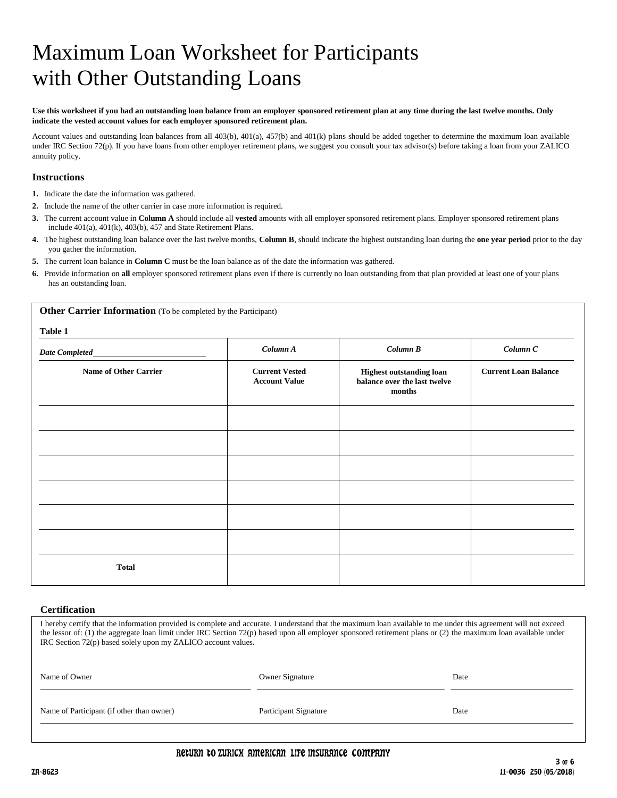# Maximum Loan Worksheet for Participants with Other Outstanding Loans

### **Use this worksheet if you had an outstanding loan balance from an employer sponsored retirement plan at any time during the last twelve months. Only indicate the vested account values for each employer sponsored retirement plan.**

Account values and outstanding loan balances from all 403(b), 401(a), 457(b) and 401(k) plans should be added together to determine the maximum loan available under IRC Section 72(p). If you have loans from other employer retirement plans, we suggest you consult your tax advisor(s) before taking a loan from your ZALICO annuity policy.

# **Instructions**

- **1.** Indicate the date the information was gathered.
- **2.** Include the name of the other carrier in case more information is required.
- **3.** The current account value in **Column A** should include all **vested** amounts with all employer sponsored retirement plans. Employer sponsored retirement plans include 401(a), 401(k), 403(b), 457 and State Retirement Plans.
- **4.** The highest outstanding loan balance over the last twelve months, **Column B**, should indicate the highest outstanding loan during the **one year period** prior to the day you gather the information.
- **5.** The current loan balance in **Column C** must be the loan balance as of the date the information was gathered.
- **6.** Provide information on **all** employer sponsored retirement plans even if there is currently no loan outstanding from that plan provided at least one of your plans has an outstanding loan.

**Other Carrier Information** (To be completed by the Participant) **Table 1** *Date Completed Column A Column B Column C* **Name of Other Carrier Current Vested Account Value Highest outstanding loan balance over the last twelve months Current Loan Balance Total**

### **Certification**

I hereby certify that the information provided is complete and accurate. I understand that the maximum loan available to me under this agreement will not exceed the lessor of: (1) the aggregate loan limit under IRC Section 72(p) based upon all employer sponsored retirement plans or (2) the maximum loan available under IRC Section 72(p) based solely upon my ZALICO account values.

| Name of Owner                             | <b>Owner Signature</b> | Date |
|-------------------------------------------|------------------------|------|
| Name of Participant (if other than owner) | Participant Signature  | Date |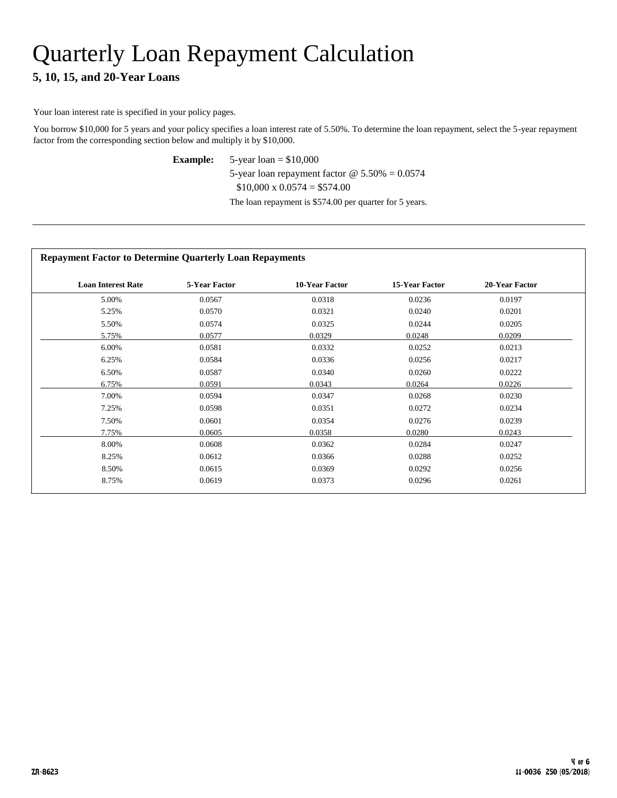# Quarterly Loan Repayment Calculation

# **5, 10, 15, and 20-Year Loans**

Your loan interest rate is specified in your policy pages.

You borrow \$10,000 for 5 years and your policy specifies a loan interest rate of 5.50%. To determine the loan repayment, select the 5-year repayment factor from the corresponding section below and multiply it by \$10,000.

**Example:** 5-year loan = \$10,000

5-year loan repayment factor @ 5.50% = 0.0574

 $$10,000 \times 0.0574 = $574.00$ 

The loan repayment is \$574.00 per quarter for 5 years.

# **Repayment Factor to Determine Quarterly Loan Repayments**

| <b>Loan Interest Rate</b> | <b>5-Year Factor</b> | 10-Year Factor | <b>15-Year Factor</b> | 20-Year Factor |
|---------------------------|----------------------|----------------|-----------------------|----------------|
| 5.00%                     | 0.0567               | 0.0318         | 0.0236                | 0.0197         |
| 5.25%                     | 0.0570               | 0.0321         | 0.0240                | 0.0201         |
| 5.50%                     | 0.0574               | 0.0325         | 0.0244                | 0.0205         |
| 5.75%                     | 0.0577               | 0.0329         | 0.0248                | 0.0209         |
| 6.00%                     | 0.0581               | 0.0332         | 0.0252                | 0.0213         |
| 6.25%                     | 0.0584               | 0.0336         | 0.0256                | 0.0217         |
| 6.50%                     | 0.0587               | 0.0340         | 0.0260                | 0.0222         |
| 6.75%                     | 0.0591               | 0.0343         | 0.0264                | 0.0226         |
| 7.00%                     | 0.0594               | 0.0347         | 0.0268                | 0.0230         |
| 7.25%                     | 0.0598               | 0.0351         | 0.0272                | 0.0234         |
| 7.50%                     | 0.0601               | 0.0354         | 0.0276                | 0.0239         |
| 7.75%                     | 0.0605               | 0.0358         | 0.0280                | 0.0243         |
| 8.00%                     | 0.0608               | 0.0362         | 0.0284                | 0.0247         |
| 8.25%                     | 0.0612               | 0.0366         | 0.0288                | 0.0252         |
| 8.50%                     | 0.0615               | 0.0369         | 0.0292                | 0.0256         |
| 8.75%                     | 0.0619               | 0.0373         | 0.0296                | 0.0261         |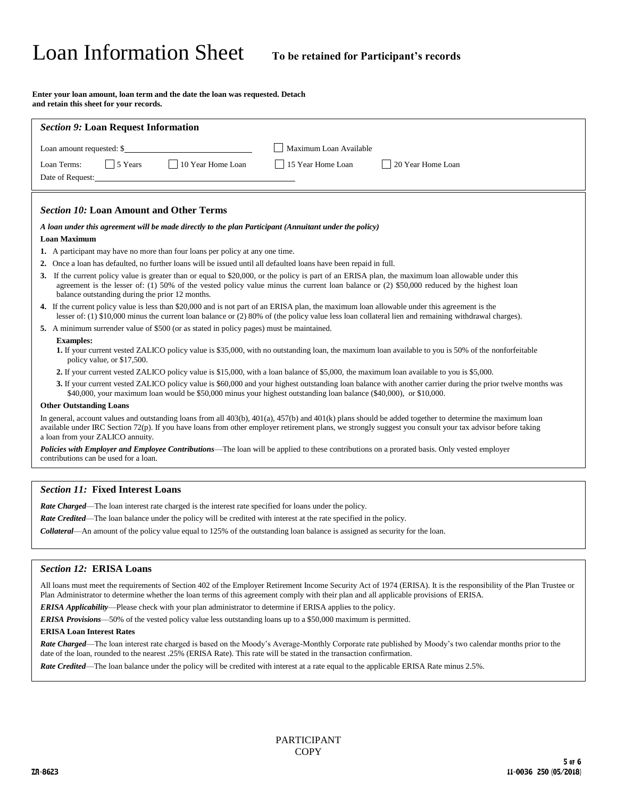# Loan Information Sheet **To be retained for Participant's records**

**Enter your loan amount, loan term and the date the loan was requested. Detach and retain this sheet for your records.**

| <b>Section 9: Loan Request Information</b>                                                                                                                                                                                                                                                                                                                          |
|---------------------------------------------------------------------------------------------------------------------------------------------------------------------------------------------------------------------------------------------------------------------------------------------------------------------------------------------------------------------|
| Maximum Loan Available<br>Loan amount requested: \$                                                                                                                                                                                                                                                                                                                 |
| 10 Year Home Loan<br>$\frac{1}{5}$ Years<br>Loan Terms:<br>15 Year Home Loan<br>20 Year Home Loan                                                                                                                                                                                                                                                                   |
| Date of Request:                                                                                                                                                                                                                                                                                                                                                    |
|                                                                                                                                                                                                                                                                                                                                                                     |
| <b>Section 10: Loan Amount and Other Terms</b>                                                                                                                                                                                                                                                                                                                      |
| A loan under this agreement will be made directly to the plan Participant (Annuitant under the policy)                                                                                                                                                                                                                                                              |
| <b>Loan Maximum</b>                                                                                                                                                                                                                                                                                                                                                 |
| 1. A participant may have no more than four loans per policy at any one time.                                                                                                                                                                                                                                                                                       |
| Once a loan has defaulted, no further loans will be issued until all defaulted loans have been repaid in full.<br>2.                                                                                                                                                                                                                                                |
| 3. If the current policy value is greater than or equal to \$20,000, or the policy is part of an ERISA plan, the maximum loan allowable under this<br>agreement is the lesser of: (1) 50% of the vested policy value minus the current loan balance or (2) \$50,000 reduced by the highest loan<br>balance outstanding during the prior 12 months.                  |
| 4. If the current policy value is less than \$20,000 and is not part of an ERISA plan, the maximum loan allowable under this agreement is the<br>lesser of: (1) $$10,000$ minus the current loan balance or (2) 80% of (the policy value less loan collateral lien and remaining withdrawal charges).                                                               |
| 5. A minimum surrender value of \$500 (or as stated in policy pages) must be maintained.                                                                                                                                                                                                                                                                            |
| <b>Examples:</b>                                                                                                                                                                                                                                                                                                                                                    |
| 1. If your current vested ZALICO policy value is \$35,000, with no outstanding loan, the maximum loan available to you is 50% of the nonforfeitable<br>policy value, or \$17,500.                                                                                                                                                                                   |
| 2. If your current vested ZALICO policy value is \$15,000, with a loan balance of \$5,000, the maximum loan available to you is \$5,000.                                                                                                                                                                                                                            |
| 3. If your current vested ZALICO policy value is \$60,000 and your highest outstanding loan balance with another carrier during the prior twelve months was<br>\$40,000, your maximum loan would be \$50,000 minus your highest outstanding loan balance (\$40,000), or \$10,000.                                                                                   |
| <b>Other Outstanding Loans</b>                                                                                                                                                                                                                                                                                                                                      |
| In general, account values and outstanding loans from all $403(b)$ , $401(a)$ , $457(b)$ and $401(k)$ plans should be added together to determine the maximum loan<br>available under IRC Section 72(p). If you have loans from other employer retirement plans, we strongly suggest you consult your tax advisor before taking<br>a loan from your ZALICO annuity. |
| <b>Policies with Employer and Employee Contributions—The loan will be applied to these contributions on a prorated basis. Only vested employer</b><br>contributions can be used for a loan.                                                                                                                                                                         |

### *Section 11:* **Fixed Interest Loans**

*Rate Charged*—The loan interest rate charged is the interest rate specified for loans under the policy.

*Rate Credited*—The loan balance under the policy will be credited with interest at the rate specified in the policy.

*Collateral*—An amount of the policy value equal to 125% of the outstanding loan balance is assigned as security for the loan.

## *Section 12:* **ERISA Loans**

All loans must meet the requirements of Section 402 of the Employer Retirement Income Security Act of 1974 (ERISA). It is the responsibility of the Plan Trustee or Plan Administrator to determine whether the loan terms of this agreement comply with their plan and all applicable provisions of ERISA.

*ERISA Applicability*—Please check with your plan administrator to determine if ERISA applies to the policy.

*ERISA Provisions*—50% of the vested policy value less outstanding loans up to a \$50,000 maximum is permitted.

### **ERISA Loan Interest Rates**

*Rate Charged*—The loan interest rate charged is based on the Moody's Average-Monthly Corporate rate published by Moody's two calendar months prior to the date of the loan, rounded to the nearest .25% (ERISA Rate). This rate will be stated in the transaction confirmation.

*Rate Credited*—The loan balance under the policy will be credited with interest at a rate equal to the applicable ERISA Rate minus 2.5%.